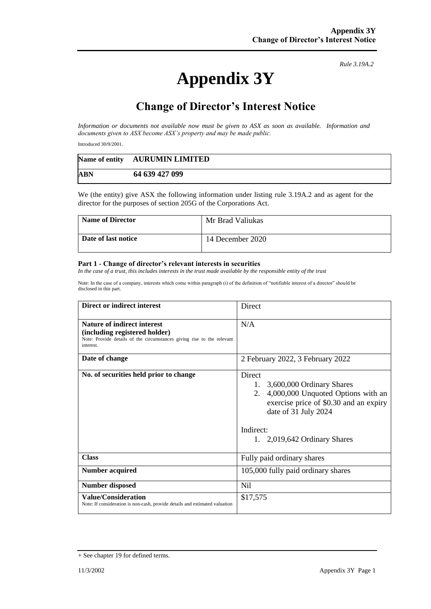## **Appendix 3Y**

*Rule 3.19A.2*

## **Change of Director's Interest Notice**

*Information or documents not available now must be given to ASX as soon as available. Information and documents given to ASX become ASX's property and may be made public.*

Introduced 30/9/2001.

|            | Name of entity AURUMIN LIMITED |
|------------|--------------------------------|
| <b>ABN</b> | 64 639 427 099                 |

We (the entity) give ASX the following information under listing rule 3.19A.2 and as agent for the director for the purposes of section 205G of the Corporations Act.

| <b>Name of Director</b> | Mr Brad Valiukas |
|-------------------------|------------------|
| Date of last notice     | 14 December 2020 |

## **Part 1 - Change of director's relevant interests in securities**

*In the case of a trust, this includes interests in the trust made available by the responsible entity of the trust*

Note: In the case of a company, interests which come within paragraph (i) of the definition of "notifiable interest of a director" should be disclosed in this part.

| Direct or indirect interest                                                                                                                         | Direct                                                                                                                                                                                                 |
|-----------------------------------------------------------------------------------------------------------------------------------------------------|--------------------------------------------------------------------------------------------------------------------------------------------------------------------------------------------------------|
| Nature of indirect interest<br>(including registered holder)<br>Note: Provide details of the circumstances giving rise to the relevant<br>interest. | N/A                                                                                                                                                                                                    |
| Date of change                                                                                                                                      | 2 February 2022, 3 February 2022                                                                                                                                                                       |
| No. of securities held prior to change                                                                                                              | Direct<br>1.<br>3,600,000 Ordinary Shares<br>2.<br>4,000,000 Unquoted Options with an<br>exercise price of \$0.30 and an expiry<br>date of 31 July 2024<br>Indirect:<br>1. $2,019,642$ Ordinary Shares |
| <b>Class</b>                                                                                                                                        | Fully paid ordinary shares                                                                                                                                                                             |
| <b>Number acquired</b>                                                                                                                              | 105,000 fully paid ordinary shares                                                                                                                                                                     |
| <b>Number disposed</b>                                                                                                                              | <b>Nil</b>                                                                                                                                                                                             |
| <b>Value/Consideration</b><br>Note: If consideration is non-cash, provide details and estimated valuation                                           | \$17,575                                                                                                                                                                                               |

<sup>+</sup> See chapter 19 for defined terms.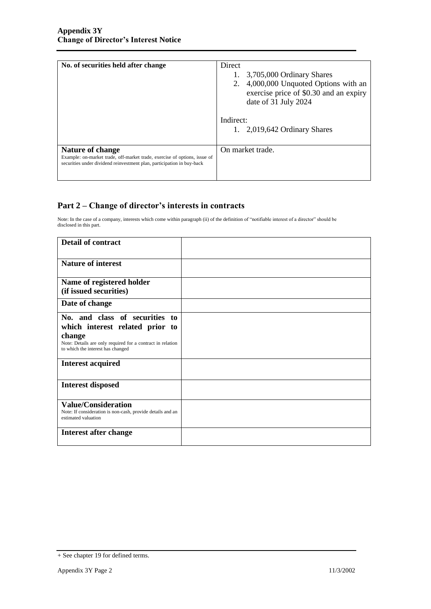| No. of securities held after change                                                                                                                                     | Direct<br>3,705,000 Ordinary Shares<br>2. 4,000,000 Unquoted Options with an<br>exercise price of \$0.30 and an expiry<br>date of 31 July 2024<br>Indirect:<br>1. $2,019,642$ Ordinary Shares |
|-------------------------------------------------------------------------------------------------------------------------------------------------------------------------|-----------------------------------------------------------------------------------------------------------------------------------------------------------------------------------------------|
| Nature of change<br>Example: on-market trade, off-market trade, exercise of options, issue of<br>securities under dividend reinvestment plan, participation in buy-back | On market trade.                                                                                                                                                                              |

## **Part 2 – Change of director's interests in contracts**

Note: In the case of a company, interests which come within paragraph (ii) of the definition of "notifiable interest of a director" should be disclosed in this part.

| <b>Detail of contract</b>                                                                       |  |
|-------------------------------------------------------------------------------------------------|--|
| <b>Nature of interest</b>                                                                       |  |
| Name of registered holder                                                                       |  |
| (if issued securities)                                                                          |  |
| Date of change                                                                                  |  |
| No. and class of securities to                                                                  |  |
| which interest related prior to                                                                 |  |
| change                                                                                          |  |
| Note: Details are only required for a contract in relation<br>to which the interest has changed |  |
| <b>Interest acquired</b>                                                                        |  |
| <b>Interest disposed</b>                                                                        |  |
| <b>Value/Consideration</b>                                                                      |  |
| Note: If consideration is non-cash, provide details and an<br>estimated valuation               |  |
| Interest after change                                                                           |  |
|                                                                                                 |  |

<sup>+</sup> See chapter 19 for defined terms.